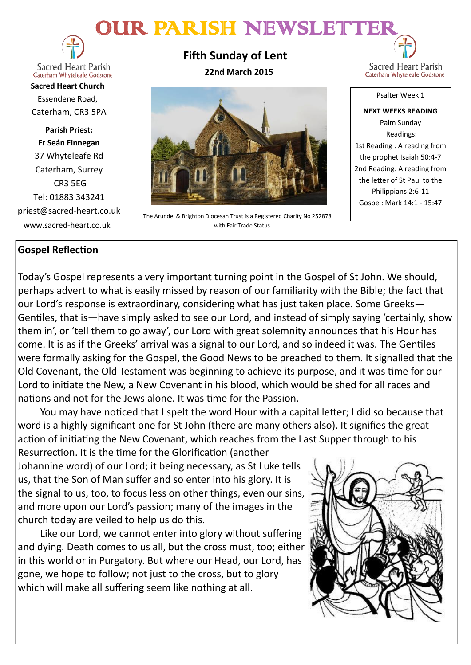# OUR PARISH NEWSLETTER



**Sacred Heart Parish** Caterham Whyteleafe Godstone

**Sacred Heart Church** Essendene Road, Caterham, CR3 5PA

**Parish Priest: Fr Seán Finnegan** 37 Whyteleafe Rd Caterham, Surrey CR3 5EG Tel: 01883 343241 priest@sacred-heart.co.uk www.sacred-heart.co.uk

**Fifth Sunday of Lent 22nd March 2015**



The Arundel & Brighton Diocesan Trust is a Registered Charity No 252878 with Fair Trade Status

Sacred Heart Parish Caterham Whyteleafe Godstone

Psalter Week 1

**NEXT WEEKS READING** Palm Sunday Readings: 1st Reading : A reading from the prophet Isaiah 50:4-7 2nd Reading: A reading from the letter of St Paul to the Philippians 2:6-11 Gospel: Mark 14:1 - 15:47

## **Gospel Reflection**

Today's Gospel represents a very important turning point in the Gospel of St John. We should, perhaps advert to what is easily missed by reason of our familiarity with the Bible; the fact that our Lord's response is extraordinary, considering what has just taken place. Some Greeks— Gentiles, that is—have simply asked to see our Lord, and instead of simply saying 'certainly, show them in', or 'tell them to go away', our Lord with great solemnity announces that his Hour has come. It is as if the Greeks' arrival was a signal to our Lord, and so indeed it was. The Gentiles were formally asking for the Gospel, the Good News to be preached to them. It signalled that the Old Covenant, the Old Testament was beginning to achieve its purpose, and it was time for our Lord to initiate the New, a New Covenant in his blood, which would be shed for all races and nations and not for the Jews alone. It was time for the Passion.

You may have noticed that I spelt the word Hour with a capital letter; I did so because that word is a highly significant one for St John (there are many others also). It signifies the great action of initiating the New Covenant, which reaches from the Last Supper through to his

Resurrection. It is the time for the Glorification (another Johannine word) of our Lord; it being necessary, as St Luke tells us, that the Son of Man suffer and so enter into his glory. It is the signal to us, too, to focus less on other things, even our sins, and more upon our Lord's passion; many of the images in the church today are veiled to help us do this.

Like our Lord, we cannot enter into glory without suffering and dying. Death comes to us all, but the cross must, too; either in this world or in Purgatory. But where our Head, our Lord, has gone, we hope to follow; not just to the cross, but to glory which will make all suffering seem like nothing at all.

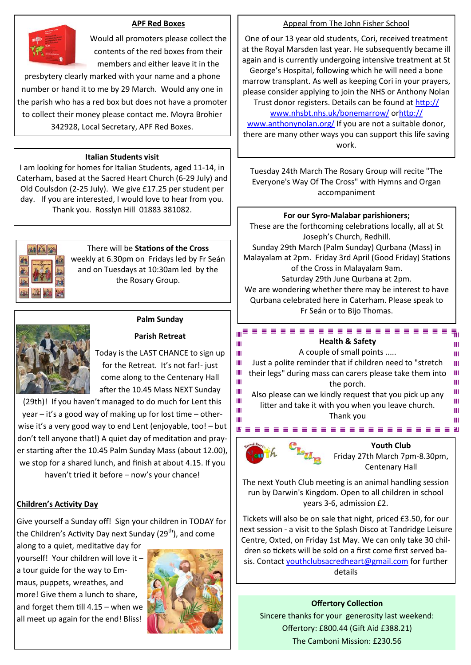#### **APF Red Boxes**



Would all promoters please collect the contents of the red boxes from their members and either leave it in the

presbytery clearly marked with your name and a phone number or hand it to me by 29 March. Would any one in the parish who has a red box but does not have a promoter to collect their money please contact me. Moyra Brohier 342928, Local Secretary, APF Red Boxes.

#### **Italian Students visit**

I am looking for homes for Italian Students, aged 11-14, in Caterham, based at the Sacred Heart Church (6-29 July) and Old Coulsdon (2-25 July). We give £17.25 per student per day. If you are interested, I would love to hear from you. Thank you. Rosslyn Hill 01883 381082.



## There will be **Stations of the Cross**

weekly at 6.30pm on Fridays led by Fr Seán and on Tuesdays at 10:30am led by the the Rosary Group.



## **Palm Sunday Parish Retreat**

Today is the LAST CHANCE to sign up for the Retreat. It's not far!- just come along to the Centenary Hall after the 10.45 Mass NEXT Sunday

(29th)! If you haven't managed to do much for Lent this year – it's a good way of making up for lost time – otherwise it's a very good way to end Lent (enjoyable, too! – but don't tell anyone that!) A quiet day of meditation and prayer starting after the 10.45 Palm Sunday Mass (about 12.00), we stop for a shared lunch, and finish at about 4.15. If you haven't tried it before – now's your chance!

## **Children's Activity Day**

Give yourself a Sunday off! Sign your children in TODAY for the Children's Activity Day next Sunday (29<sup>th</sup>), and come

along to a quiet, meditative day for yourself! Your children will love it – a tour guide for the way to Emmaus, puppets, wreathes, and more! Give them a lunch to share, and forget them till 4.15 – when we all meet up again for the end! Bliss!



#### Appeal from The John Fisher School

One of our 13 year old students, Cori, received treatment at the Royal Marsden last year. He subsequently became ill again and is currently undergoing intensive treatment at St George's Hospital, following which he will need a bone marrow transplant. As well as keeping Cori in your prayers,

please consider applying to join the NHS or Anthony Nolan Trust donor registers. Details can be found at [http://](http://www.nhsbt.nhs.uk/bonemarrow/)

www.nhsbt.nhs.uk/bonemarrow/ o[rhttp://](http://www.anthonynolan.org/)

[www.anthonynolan.org/](http://www.anthonynolan.org/) If you are not a suitable donor, there are many other ways you can support this life saving work.

Tuesday 24th March The Rosary Group will recite "The Everyone's Way Of The Cross" with Hymns and Organ accompaniment

#### **For our Syro-Malabar parishioners;**

These are the forthcoming celebrations locally, all at St Joseph's Church, Redhill. Sunday 29th March (Palm Sunday) Qurbana (Mass) in Malayalam at 2pm. Friday 3rd April (Good Friday) Stations of the Cross in Malayalam 9am. Saturday 29th June Qurbana at 2pm. We are wondering whether there may be interest to have Qurbana celebrated here in Caterham. Please speak to Fr Seán or to Bijo Thomas.

........................ **Health & Safety**

Ш A couple of small points ..... Ш Ш Just a polite reminder that if children need to "stretch Ш Ш Ш their legs" during mass can carers please take them into Ш Ш the porch. Ш Ш Ш Also please can we kindly request that you pick up any Ш Ш litter and take it with you when you leave church. Ш Ш

Thank you 



Ш

**Youth Club** 

Friday 27th March 7pm-8.30pm, Centenary Hall

Ш

Ш

The next Youth Club meeting is an animal handling session run by Darwin's Kingdom. Open to all children in school years 3-6, admission £2.

Tickets will also be on sale that night, priced £3.50, for our next session - a visit to the Splash Disco at Tandridge Leisure Centre, Oxted, on Friday 1st May. We can only take 30 children so tickets will be sold on a first come first served basis. Contact [youthclubsacredheart@gmail.com](mailto:youthclubsacredheart@gmail.com) for further details

#### **Offertory Collection**

Sincere thanks for your generosity last weekend: Offertory: £800.44 (Gift Aid £388.21) The Camboni Mission: £230.56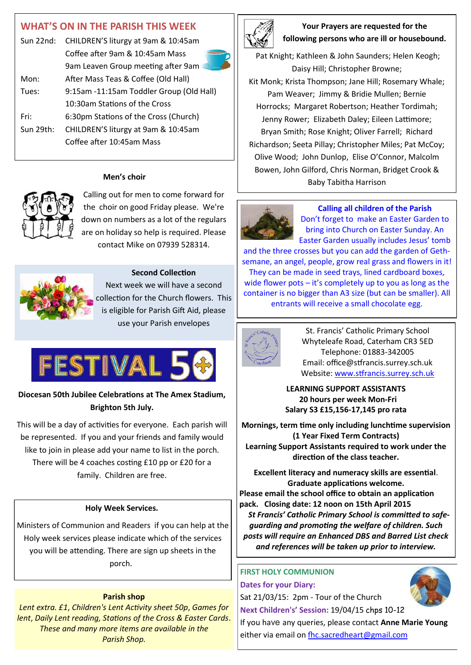# **WHAT'S ON IN THE PARISH THIS WEEK**

|           | Sun 22nd: CHILDREN'S liturgy at 9am & 10:45am |  |
|-----------|-----------------------------------------------|--|
|           | Coffee after 9am & 10:45am Mass               |  |
|           | 9am Leaven Group meeting after 9am            |  |
| Mon:      | After Mass Teas & Coffee (Old Hall)           |  |
| Tues:     | 9:15am -11:15am Toddler Group (Old Hall)      |  |
|           | 10:30am Stations of the Cross                 |  |
| Fri:      | 6:30pm Stations of the Cross (Church)         |  |
| Sun 29th: | CHILDREN'S liturgy at 9am & 10:45am           |  |
|           | Coffee after 10:45am Mass                     |  |

#### **Men's choir**



Calling out for men to come forward for the choir on good Friday please. We're down on numbers as a lot of the regulars are on holiday so help is required. Please contact Mike on 07939 528314.



**Second Collection** Next week we will have a second collection for the Church flowers. This is eligible for Parish Gift Aid, please use your Parish envelopes



**Diocesan 50th Jubilee Celebrations at The Amex Stadium, Brighton 5th July.**

This will be a day of activities for everyone. Each parish will be represented. If you and your friends and family would like to join in please add your name to list in the porch. There will be 4 coaches costing £10 pp or £20 for a family. Children are free.

#### **Holy Week Services.**

Ministers of Communion and Readers if you can help at the Holy week services please indicate which of the services you will be attending. There are sign up sheets in the porch.

#### **Parish shop**

*Lent extra. £1*, *Children's Lent Activity sheet 50p*, *Games for lent*, *Daily Lent reading, Stations of the Cross & Easter Cards*. *These and many more items are available in the Parish Shop.*



**Your Prayers are requested for the following persons who are ill or housebound.** 

Pat Knight; Kathleen & John Saunders; Helen Keogh; Daisy Hill; Christopher Browne; Kit Monk; Krista Thompson; Jane Hill; Rosemary Whale; Pam Weaver; Jimmy & Bridie Mullen; Bernie Horrocks; Margaret Robertson; Heather Tordimah; Jenny Rower; Elizabeth Daley; Eileen Lattimore; Bryan Smith; Rose Knight; Oliver Farrell; Richard Richardson; Seeta Pillay; Christopher Miles; Pat McCoy; Olive Wood; John Dunlop, Elise O'Connor, Malcolm Bowen, John Gilford, Chris Norman, Bridget Crook & Baby Tabitha Harrison



#### **Calling all children of the Parish**

Don't forget to make an Easter Garden to bring into Church on Easter Sunday. An Easter Garden usually includes Jesus' tomb

and the three crosses but you can add the garden of Gethsemane, an angel, people, grow real grass and flowers in it! They can be made in seed trays, lined cardboard boxes, wide flower pots – it's completely up to you as long as the container is no bigger than A3 size (but can be smaller). All entrants will receive a small chocolate egg.



St. Francis' Catholic Primary School Whyteleafe Road, Caterham CR3 5ED Telephone: 01883-342005 Email: office@stfrancis.surrey.sch.uk Website: [www.stfrancis.surrey.sch.uk](http://www.stfrancis.surrey.sch.uk/)

**LEARNING SUPPORT ASSISTANTS 20 hours per week Mon-Fri Salary S3 £15,156-17,145 pro rata**

**Mornings, term time only including lunchtime supervision (1 Year Fixed Term Contracts) Learning Support Assistants required to work under the direction of the class teacher.** 

**Excellent literacy and numeracy skills are essential**. **Graduate applications welcome. Please email the school office to obtain an application pack. Closing date: 12 noon on 15th April 2015** *St Francis' Catholic Primary School is committed to safeguarding and promoting the welfare of children. Such posts will require an Enhanced DBS and Barred List check and references will be taken up prior to interview.* 

## **FIRST HOLY COMMUNION**

**Dates for your Diary:** Sat 21/03/15: 2pm - Tour of the Church **Next Children's' Session:** 19/04/15 chps 10-12

If you have any queries, please contact **Anne Marie Young** either via email on fhc.sacredheart@gmail.com